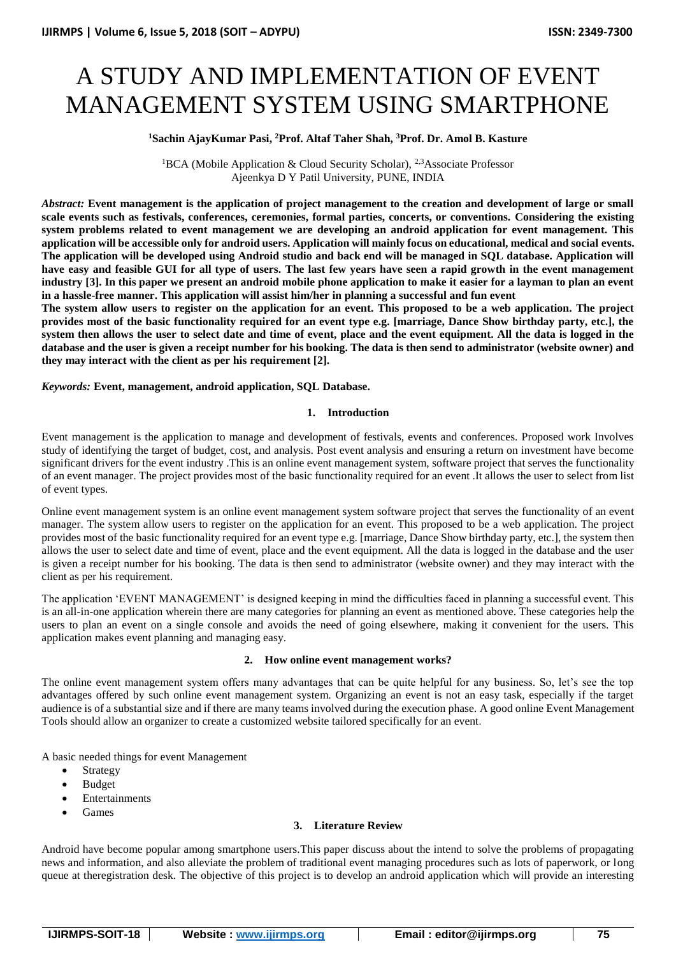# A STUDY AND IMPLEMENTATION OF EVENT MANAGEMENT SYSTEM USING SMARTPHONE

# **<sup>1</sup>Sachin AjayKumar Pasi, <sup>2</sup>Prof. Altaf Taher Shah, <sup>3</sup>Prof. Dr. Amol B. Kasture**

<sup>1</sup>BCA (Mobile Application & Cloud Security Scholar), <sup>2,3</sup>Associate Professor Ajeenkya D Y Patil University, PUNE, INDIA

*Abstract:* **Event management is the application of project management to the creation and development of large or small scale events such as festivals, conferences, ceremonies, formal parties, concerts, or conventions. Considering the existing system problems related to event management we are developing an android application for event management. This application will be accessible only for android users. Application will mainly focus on educational, medical and social events. The application will be developed using Android studio and back end will be managed in SQL database. Application will have easy and feasible GUI for all type of users. The last few years have seen a rapid growth in the event management industry [3]. In this paper we present an android mobile phone application to make it easier for a layman to plan an event in a hassle-free manner. This application will assist him/her in planning a successful and fun event**

**The system allow users to register on the application for an event. This proposed to be a web application. The project provides most of the basic functionality required for an event type e.g. [marriage, Dance Show birthday party, etc.], the system then allows the user to select date and time of event, place and the event equipment. All the data is logged in the database and the user is given a receipt number for his booking. The data is then send to administrator (website owner) and they may interact with the client as per his requirement [2].**

*Keywords:* **Event, management, android application, SQL Database.** 

#### **1. Introduction**

Event management is the application to manage and development of festivals, events and conferences. Proposed work Involves study of identifying the target of budget, cost, and analysis. Post event analysis and ensuring a return on investment have become significant drivers for the event industry .This is an online event management system, software project that serves the functionality of an event manager. The project provides most of the basic functionality required for an event .It allows the user to select from list of event types.

Online event management system is an online event management system software project that serves the functionality of an event manager. The system allow users to register on the application for an event. This proposed to be a web application. The project provides most of the basic functionality required for an event type e.g. [marriage, Dance Show birthday party, etc.], the system then allows the user to select date and time of event, place and the event equipment. All the data is logged in the database and the user is given a receipt number for his booking. The data is then send to administrator (website owner) and they may interact with the client as per his requirement.

The application 'EVENT MANAGEMENT' is designed keeping in mind the difficulties faced in planning a successful event. This is an all-in-one application wherein there are many categories for planning an event as mentioned above. These categories help the users to plan an event on a single console and avoids the need of going elsewhere, making it convenient for the users. This application makes event planning and managing easy.

#### **2. How online event management works?**

The online event management system offers many advantages that can be quite helpful for any business. So, let's see the top advantages offered by such online event management system. Organizing an event is not an easy task, especially if the target audience is of a substantial size and if there are many teams involved during the execution phase. A good online [Event Management](https://eventsair.com/)  [Tools](https://eventsair.com/) should allow an organizer to create a customized website tailored specifically for an event*.* 

A basic needed things for event Management

- Strategy
- Budget
- Entertainments
- Games

# **3. Literature Review**

Android have become popular among smartphone users.This paper discuss about the intend to solve the problems of propagating news and information, and also alleviate the problem of traditional event managing procedures such as lots of paperwork, or long queue at theregistration desk. The objective of this project is to develop an android application which will provide an interesting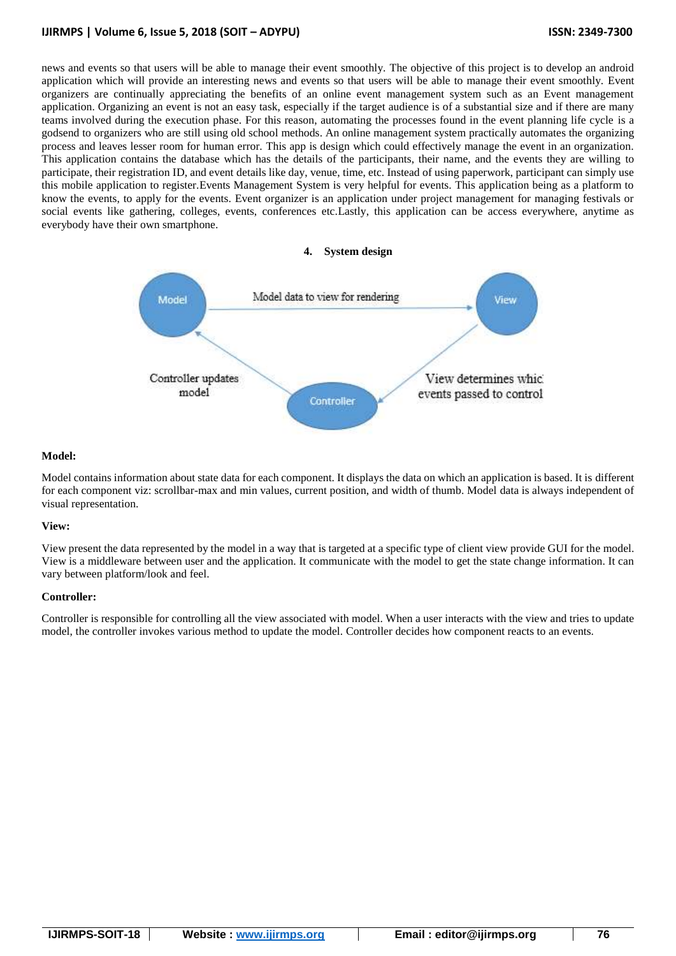# **IJIRMPS | Volume 6, Issue 5, 2018 (SOIT – ADYPU) ISSN: 2349-7300**

news and events so that users will be able to manage their event smoothly. The objective of this project is to develop an android application which will provide an interesting news and events so that users will be able to manage their event smoothly. Event organizers are continually appreciating the benefits of an online event management system such as an Event management application. Organizing an event is not an easy task, especially if the target audience is of a substantial size and if there are many teams involved during the execution phase. For this reason, automating the processes found in the event planning life cycle is a godsend to organizers who are still using old school methods. An online management system practically automates the organizing process and leaves lesser room for human error. This app is design which could effectively manage the event in an organization. This application contains the database which has the details of the participants, their name, and the events they are willing to participate, their registration ID, and event details like day, venue, time, etc. Instead of using paperwork, participant can simply use this mobile application to register.Events Management System is very helpful for events. This application being as a platform to know the events, to apply for the events. Event organizer is an application under project management for managing festivals or social events like gathering, colleges, events, conferences etc.Lastly, this application can be access everywhere, anytime as everybody have their own smartphone.

#### **4. System design**



#### **Model:**

Model contains information about state data for each component. It displays the data on which an application is based. It is different for each component viz: scrollbar-max and min values, current position, and width of thumb. Model data is always independent of visual representation.

#### **View:**

View present the data represented by the model in a way that is targeted at a specific type of client view provide GUI for the model. View is a middleware between user and the application. It communicate with the model to get the state change information. It can vary between platform/look and feel.

#### **Controller:**

Controller is responsible for controlling all the view associated with model. When a user interacts with the view and tries to update model, the controller invokes various method to update the model. Controller decides how component reacts to an events.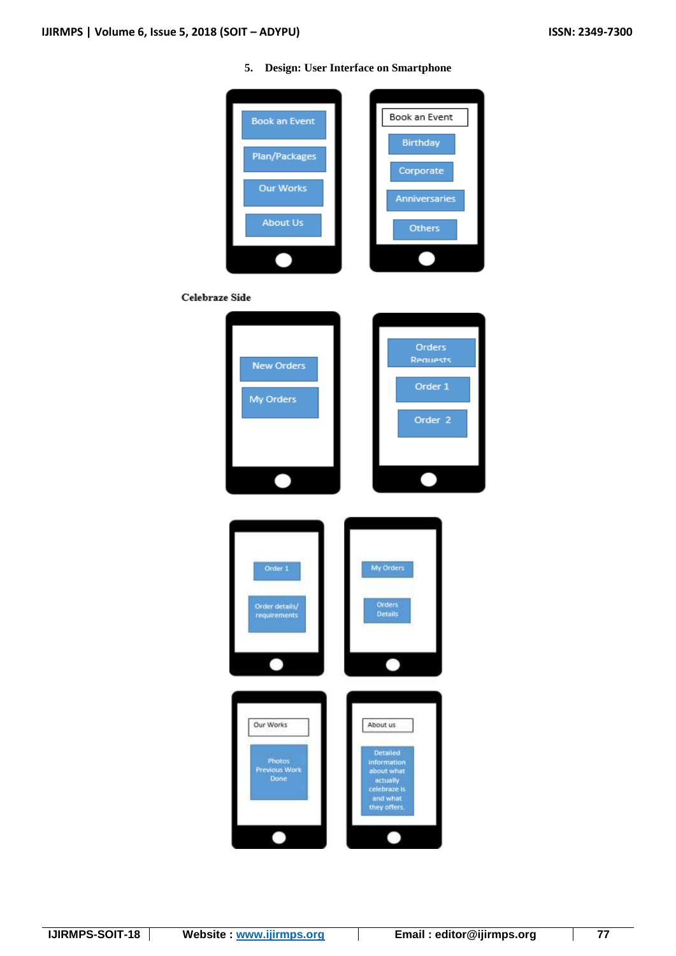**5. Design: User Interface on Smartphone**